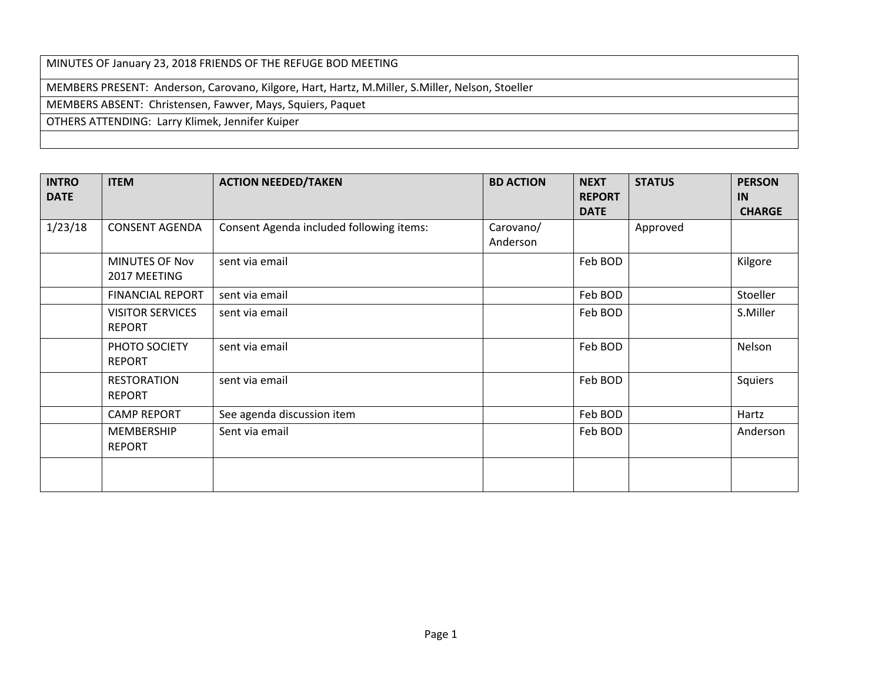MINUTES OF January 23, 2018 FRIENDS OF THE REFUGE BOD MEETING MEMBERS PRESENT: Anderson, Carovano, Kilgore, Hart, Hartz, M.Miller, S.Miller, Nelson, Stoeller MEMBERS ABSENT: Christensen, Fawver, Mays, Squiers, Paquet OTHERS ATTENDING: Larry Klimek, Jennifer Kuiper

| <b>INTRO</b><br><b>DATE</b> | <b>ITEM</b>                              | <b>ACTION NEEDED/TAKEN</b>               | <b>BD ACTION</b>      | <b>NEXT</b><br><b>REPORT</b> | <b>STATUS</b> | <b>PERSON</b><br>IN |
|-----------------------------|------------------------------------------|------------------------------------------|-----------------------|------------------------------|---------------|---------------------|
|                             |                                          |                                          |                       | <b>DATE</b>                  |               | <b>CHARGE</b>       |
| 1/23/18                     | <b>CONSENT AGENDA</b>                    | Consent Agenda included following items: | Carovano/<br>Anderson |                              | Approved      |                     |
|                             | <b>MINUTES OF Nov</b><br>2017 MEETING    | sent via email                           |                       | Feb BOD                      |               | Kilgore             |
|                             | <b>FINANCIAL REPORT</b>                  | sent via email                           |                       | Feb BOD                      |               | Stoeller            |
|                             | <b>VISITOR SERVICES</b><br><b>REPORT</b> | sent via email                           |                       | Feb BOD                      |               | S.Miller            |
|                             | PHOTO SOCIETY<br><b>REPORT</b>           | sent via email                           |                       | Feb BOD                      |               | Nelson              |
|                             | <b>RESTORATION</b><br><b>REPORT</b>      | sent via email                           |                       | Feb BOD                      |               | Squiers             |
|                             | <b>CAMP REPORT</b>                       | See agenda discussion item               |                       | Feb BOD                      |               | Hartz               |
|                             | MEMBERSHIP<br><b>REPORT</b>              | Sent via email                           |                       | Feb BOD                      |               | Anderson            |
|                             |                                          |                                          |                       |                              |               |                     |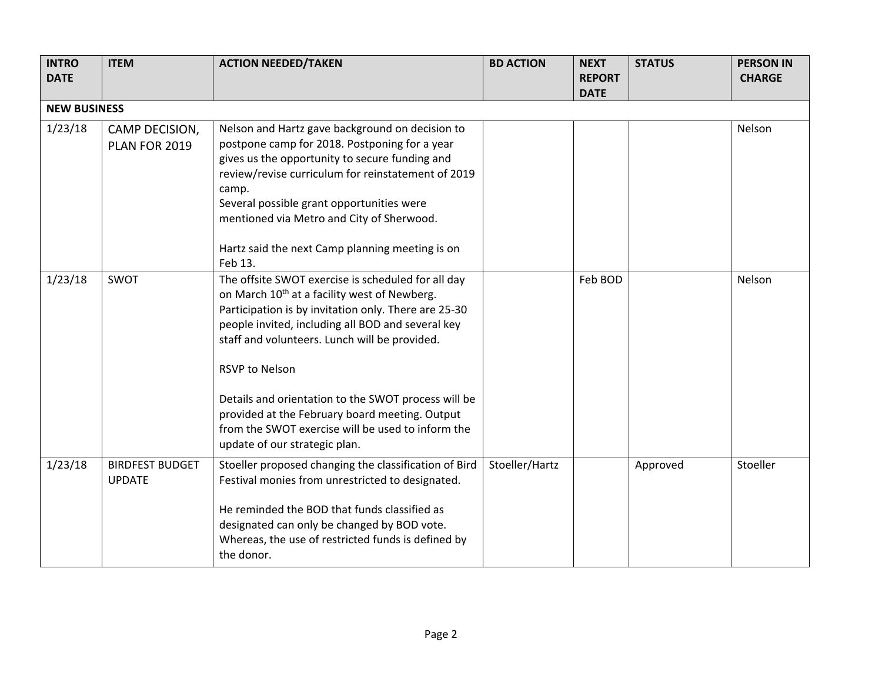| <b>INTRO</b><br><b>DATE</b> | <b>ITEM</b>                             | <b>ACTION NEEDED/TAKEN</b>                                                                                                                                                                                                                                                                                                                                                                                                                                                                           | <b>BD ACTION</b> | <b>NEXT</b><br><b>REPORT</b> | <b>STATUS</b> | <b>PERSON IN</b><br><b>CHARGE</b> |  |
|-----------------------------|-----------------------------------------|------------------------------------------------------------------------------------------------------------------------------------------------------------------------------------------------------------------------------------------------------------------------------------------------------------------------------------------------------------------------------------------------------------------------------------------------------------------------------------------------------|------------------|------------------------------|---------------|-----------------------------------|--|
|                             | <b>DATE</b><br><b>NEW BUSINESS</b>      |                                                                                                                                                                                                                                                                                                                                                                                                                                                                                                      |                  |                              |               |                                   |  |
| 1/23/18                     | CAMP DECISION,<br>PLAN FOR 2019         | Nelson and Hartz gave background on decision to<br>postpone camp for 2018. Postponing for a year<br>gives us the opportunity to secure funding and<br>review/revise curriculum for reinstatement of 2019<br>camp.<br>Several possible grant opportunities were<br>mentioned via Metro and City of Sherwood.<br>Hartz said the next Camp planning meeting is on<br>Feb 13.                                                                                                                            |                  |                              |               | Nelson                            |  |
| 1/23/18                     | SWOT                                    | The offsite SWOT exercise is scheduled for all day<br>on March 10 <sup>th</sup> at a facility west of Newberg.<br>Participation is by invitation only. There are 25-30<br>people invited, including all BOD and several key<br>staff and volunteers. Lunch will be provided.<br><b>RSVP to Nelson</b><br>Details and orientation to the SWOT process will be<br>provided at the February board meeting. Output<br>from the SWOT exercise will be used to inform the<br>update of our strategic plan. |                  | Feb BOD                      |               | Nelson                            |  |
| 1/23/18                     | <b>BIRDFEST BUDGET</b><br><b>UPDATE</b> | Stoeller proposed changing the classification of Bird<br>Festival monies from unrestricted to designated.<br>He reminded the BOD that funds classified as<br>designated can only be changed by BOD vote.<br>Whereas, the use of restricted funds is defined by<br>the donor.                                                                                                                                                                                                                         | Stoeller/Hartz   |                              | Approved      | Stoeller                          |  |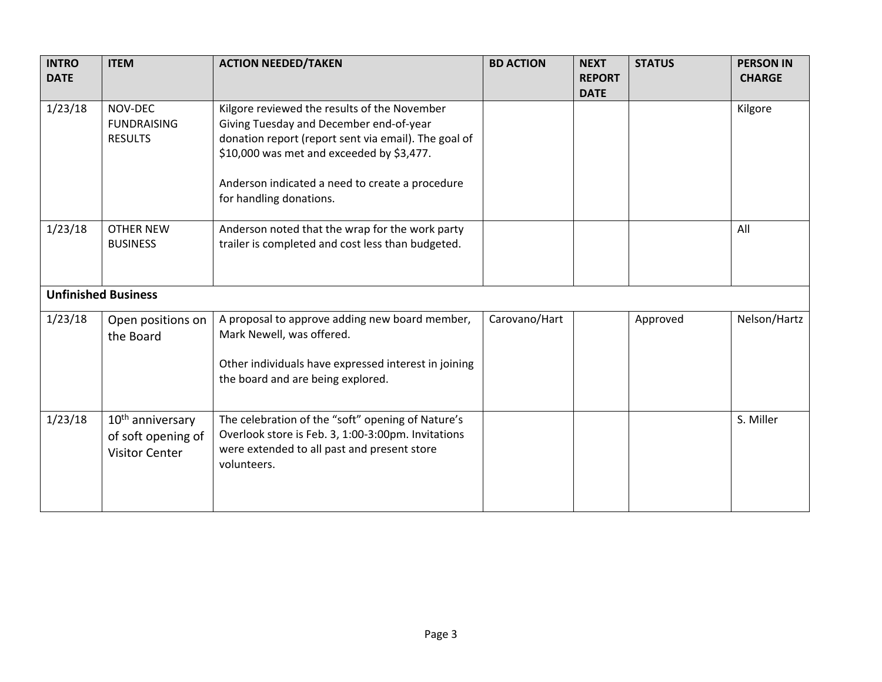| <b>INTRO</b><br><b>DATE</b> | <b>ITEM</b>                                                                 | <b>ACTION NEEDED/TAKEN</b>                                                                                                                                                                                                                                                 | <b>BD ACTION</b> | <b>NEXT</b><br><b>REPORT</b><br><b>DATE</b> | <b>STATUS</b> | <b>PERSON IN</b><br><b>CHARGE</b> |
|-----------------------------|-----------------------------------------------------------------------------|----------------------------------------------------------------------------------------------------------------------------------------------------------------------------------------------------------------------------------------------------------------------------|------------------|---------------------------------------------|---------------|-----------------------------------|
| 1/23/18                     | NOV-DEC<br><b>FUNDRAISING</b><br><b>RESULTS</b>                             | Kilgore reviewed the results of the November<br>Giving Tuesday and December end-of-year<br>donation report (report sent via email). The goal of<br>\$10,000 was met and exceeded by \$3,477.<br>Anderson indicated a need to create a procedure<br>for handling donations. |                  |                                             |               | Kilgore                           |
| 1/23/18                     | <b>OTHER NEW</b><br><b>BUSINESS</b>                                         | Anderson noted that the wrap for the work party<br>trailer is completed and cost less than budgeted.                                                                                                                                                                       |                  |                                             |               | All                               |
| <b>Unfinished Business</b>  |                                                                             |                                                                                                                                                                                                                                                                            |                  |                                             |               |                                   |
| 1/23/18                     | Open positions on<br>the Board                                              | A proposal to approve adding new board member,<br>Mark Newell, was offered.<br>Other individuals have expressed interest in joining<br>the board and are being explored.                                                                                                   | Carovano/Hart    |                                             | Approved      | Nelson/Hartz                      |
| 1/23/18                     | 10 <sup>th</sup> anniversary<br>of soft opening of<br><b>Visitor Center</b> | The celebration of the "soft" opening of Nature's<br>Overlook store is Feb. 3, 1:00-3:00pm. Invitations<br>were extended to all past and present store<br>volunteers.                                                                                                      |                  |                                             |               | S. Miller                         |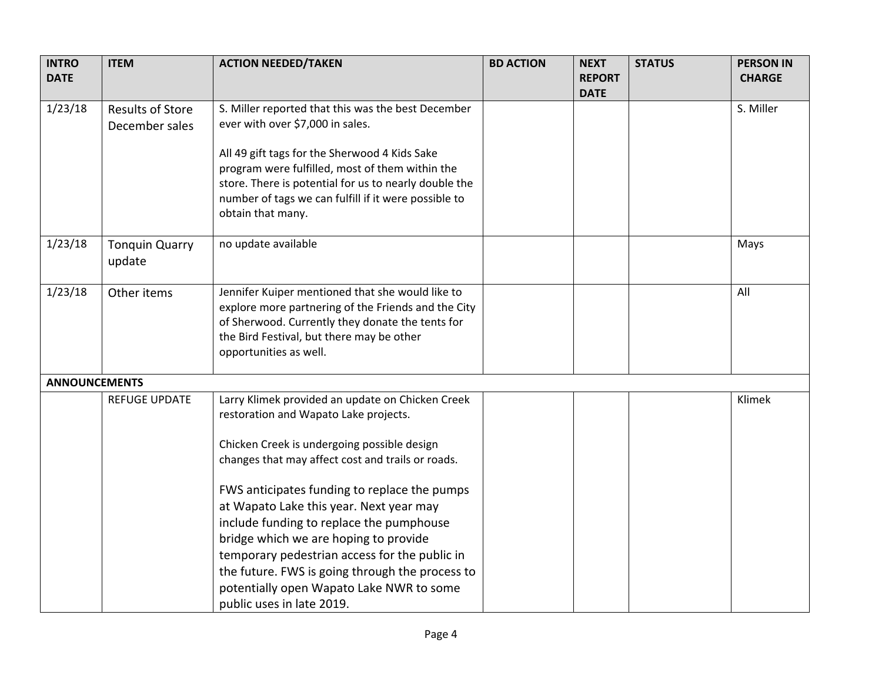| <b>INTRO</b><br><b>DATE</b> | <b>ITEM</b>                     | <b>ACTION NEEDED/TAKEN</b>                                                                                                                                                                                                             | <b>BD ACTION</b> | <b>NEXT</b><br><b>REPORT</b> | <b>STATUS</b> | <b>PERSON IN</b><br><b>CHARGE</b> |
|-----------------------------|---------------------------------|----------------------------------------------------------------------------------------------------------------------------------------------------------------------------------------------------------------------------------------|------------------|------------------------------|---------------|-----------------------------------|
|                             |                                 |                                                                                                                                                                                                                                        |                  | <b>DATE</b>                  |               |                                   |
| 1/23/18                     | <b>Results of Store</b>         | S. Miller reported that this was the best December                                                                                                                                                                                     |                  |                              |               | S. Miller                         |
|                             | December sales                  | ever with over \$7,000 in sales.                                                                                                                                                                                                       |                  |                              |               |                                   |
|                             |                                 | All 49 gift tags for the Sherwood 4 Kids Sake<br>program were fulfilled, most of them within the<br>store. There is potential for us to nearly double the<br>number of tags we can fulfill if it were possible to<br>obtain that many. |                  |                              |               |                                   |
| 1/23/18                     | <b>Tonquin Quarry</b><br>update | no update available                                                                                                                                                                                                                    |                  |                              |               | Mays                              |
| 1/23/18                     | Other items                     | Jennifer Kuiper mentioned that she would like to<br>explore more partnering of the Friends and the City<br>of Sherwood. Currently they donate the tents for<br>the Bird Festival, but there may be other<br>opportunities as well.     |                  |                              |               | All                               |
| <b>ANNOUNCEMENTS</b>        |                                 |                                                                                                                                                                                                                                        |                  |                              |               |                                   |
|                             | <b>REFUGE UPDATE</b>            | Larry Klimek provided an update on Chicken Creek<br>restoration and Wapato Lake projects.                                                                                                                                              |                  |                              |               | Klimek                            |
|                             |                                 | Chicken Creek is undergoing possible design                                                                                                                                                                                            |                  |                              |               |                                   |
|                             |                                 | changes that may affect cost and trails or roads.                                                                                                                                                                                      |                  |                              |               |                                   |
|                             |                                 | FWS anticipates funding to replace the pumps                                                                                                                                                                                           |                  |                              |               |                                   |
|                             |                                 | at Wapato Lake this year. Next year may                                                                                                                                                                                                |                  |                              |               |                                   |
|                             |                                 | include funding to replace the pumphouse                                                                                                                                                                                               |                  |                              |               |                                   |
|                             |                                 | bridge which we are hoping to provide                                                                                                                                                                                                  |                  |                              |               |                                   |
|                             |                                 | temporary pedestrian access for the public in                                                                                                                                                                                          |                  |                              |               |                                   |
|                             |                                 | the future. FWS is going through the process to                                                                                                                                                                                        |                  |                              |               |                                   |
|                             |                                 | potentially open Wapato Lake NWR to some                                                                                                                                                                                               |                  |                              |               |                                   |
|                             |                                 | public uses in late 2019.                                                                                                                                                                                                              |                  |                              |               |                                   |